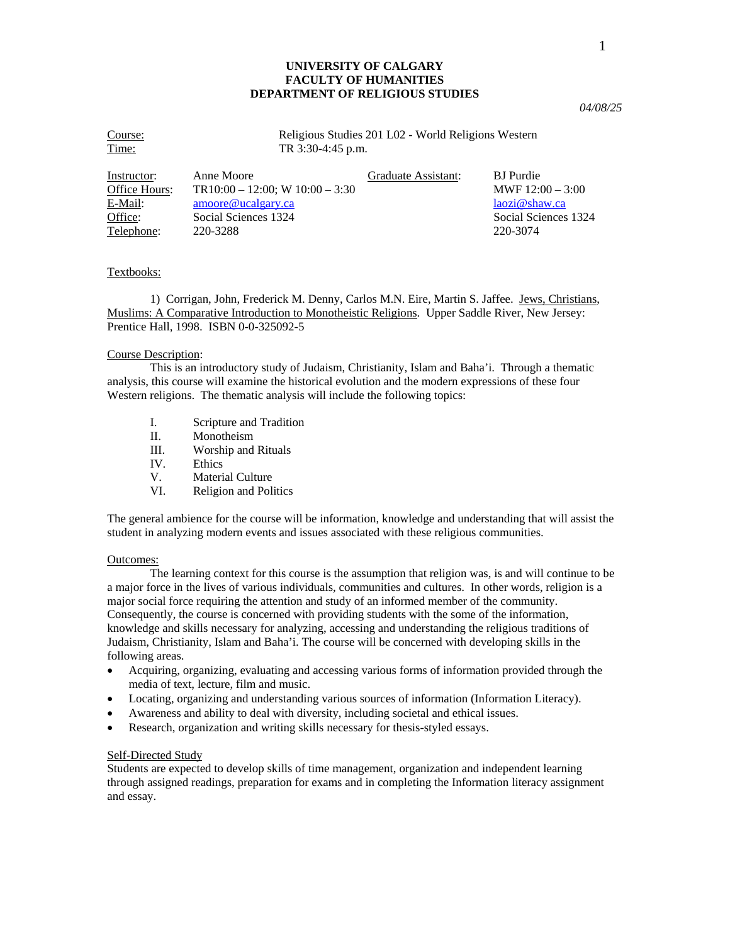## **UNIVERSITY OF CALGARY FACULTY OF HUMANITIES DEPARTMENT OF RELIGIOUS STUDIES**

Course: Religious Studies 201 L02 - World Religions Western Time: TR 3:30-4:45 p.m. Instructor: Anne Moore Graduate Assistant: BJ Purdie Office Hours: TR10:00 – 12:00; W 10:00 – 3:30 MWF 12:00 – 3:00 E-Mail: [amoore@ucalgary.ca](mailto:amoore@ucalgary.ca) [laozi@shaw.ca](mailto:laozi@shaw.ca) laozi@shaw.ca Office: Social Sciences 1324 Social Sciences 1324 Social Sciences 1324

Telephone: 220-3288 220-3074

## Textbooks:

 1) Corrigan, John, Frederick M. Denny, Carlos M.N. Eire, Martin S. Jaffee. Jews, Christians, Muslims: A Comparative Introduction to Monotheistic Religions. Upper Saddle River, New Jersey: Prentice Hall, 1998. ISBN 0-0-325092-5

#### Course Description:

 This is an introductory study of Judaism, Christianity, Islam and Baha'i. Through a thematic analysis, this course will examine the historical evolution and the modern expressions of these four Western religions. The thematic analysis will include the following topics:

- I. Scripture and Tradition
- II. Monotheism
- III. Worship and Rituals
- IV. Ethics
- V. Material Culture
- VI. Religion and Politics

The general ambience for the course will be information, knowledge and understanding that will assist the student in analyzing modern events and issues associated with these religious communities.

#### Outcomes:

 The learning context for this course is the assumption that religion was, is and will continue to be a major force in the lives of various individuals, communities and cultures. In other words, religion is a major social force requiring the attention and study of an informed member of the community. Consequently, the course is concerned with providing students with the some of the information, knowledge and skills necessary for analyzing, accessing and understanding the religious traditions of Judaism, Christianity, Islam and Baha'i. The course will be concerned with developing skills in the following areas.

- Acquiring, organizing, evaluating and accessing various forms of information provided through the media of text, lecture, film and music.
- Locating, organizing and understanding various sources of information (Information Literacy).
- Awareness and ability to deal with diversity, including societal and ethical issues.
- Research, organization and writing skills necessary for thesis-styled essays.

### Self-Directed Study

Students are expected to develop skills of time management, organization and independent learning through assigned readings, preparation for exams and in completing the Information literacy assignment and essay.

*04/08/25*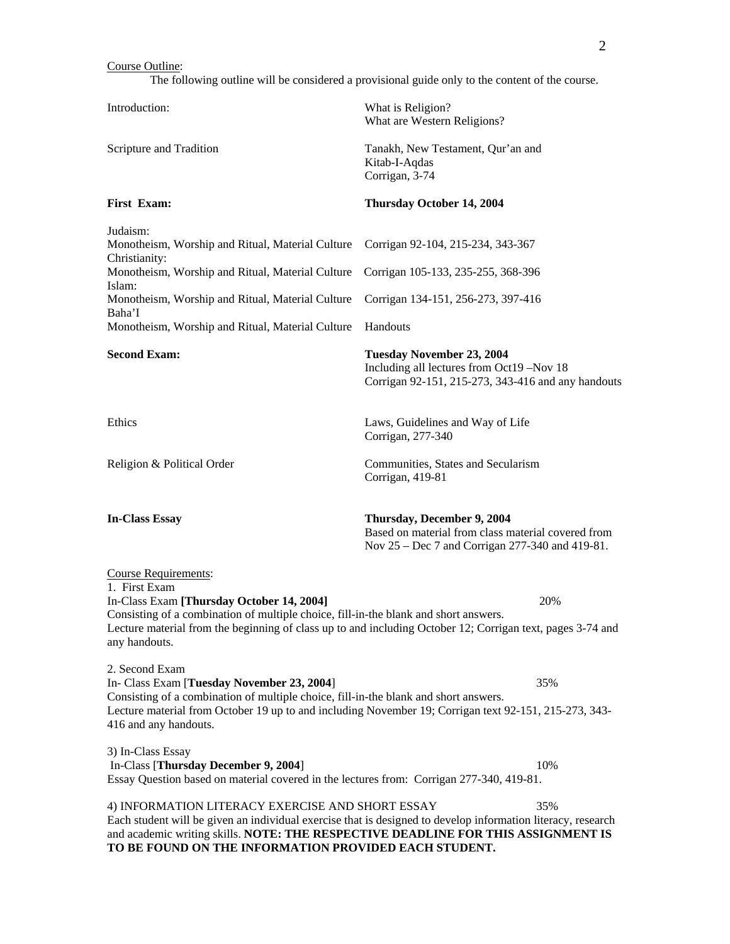### Course Outline:

The following outline will be considered a provisional guide only to the content of the course.

Introduction: What is Religion? What are Western Religions? Scripture and Tradition Tanakh, New Testament, Qur'an and Kitab-I-Aqdas Corrigan, 3-74 **First Exam: Thursday October 14, 2004**  Judaism: Monotheism, Worship and Ritual, Material Culture Corrigan 92-104, 215-234, 343-367 Christianity: Monotheism, Worship and Ritual, Material Culture Corrigan 105-133, 235-255, 368-396 Islam: Monotheism, Worship and Ritual, Material Culture Corrigan 134-151, 256-273, 397-416 Baha'I Monotheism, Worship and Ritual, Material Culture Handouts **Second Exam: Tuesday November 23, 2004**  Including all lectures from Oct19 –Nov 18 Corrigan 92-151, 215-273, 343-416 and any handouts Ethics Laws, Guidelines and Way of Life Corrigan, 277-340 Religion & Political Order Communities, States and Secularism Corrigan, 419-81 **In-Class Essay Thursday, December 9, 2004** Based on material from class material covered from Nov 25 – Dec 7 and Corrigan 277-340 and 419-81. Course Requirements: 1. First Exam In-Class Exam **[Thursday October 14, 2004]** 20% Consisting of a combination of multiple choice, fill-in-the blank and short answers. Lecture material from the beginning of class up to and including October 12; Corrigan text, pages 3-74 and any handouts. 2. Second Exam In- Class Exam [**Tuesday November 23, 2004**] 35% Consisting of a combination of multiple choice, fill-in-the blank and short answers. Lecture material from October 19 up to and including November 19; Corrigan text 92-151, 215-273, 343- 416 and any handouts. 3) In-Class Essay In-Class [**Thursday December 9, 2004**] 10% Essay Question based on material covered in the lectures from: Corrigan 277-340, 419-81. 4) INFORMATION LITERACY EXERCISE AND SHORT ESSAY 35% Each student will be given an individual exercise that is designed to develop information literacy, research and academic writing skills. **NOTE: THE RESPECTIVE DEADLINE FOR THIS ASSIGNMENT IS** 

**TO BE FOUND ON THE INFORMATION PROVIDED EACH STUDENT.**